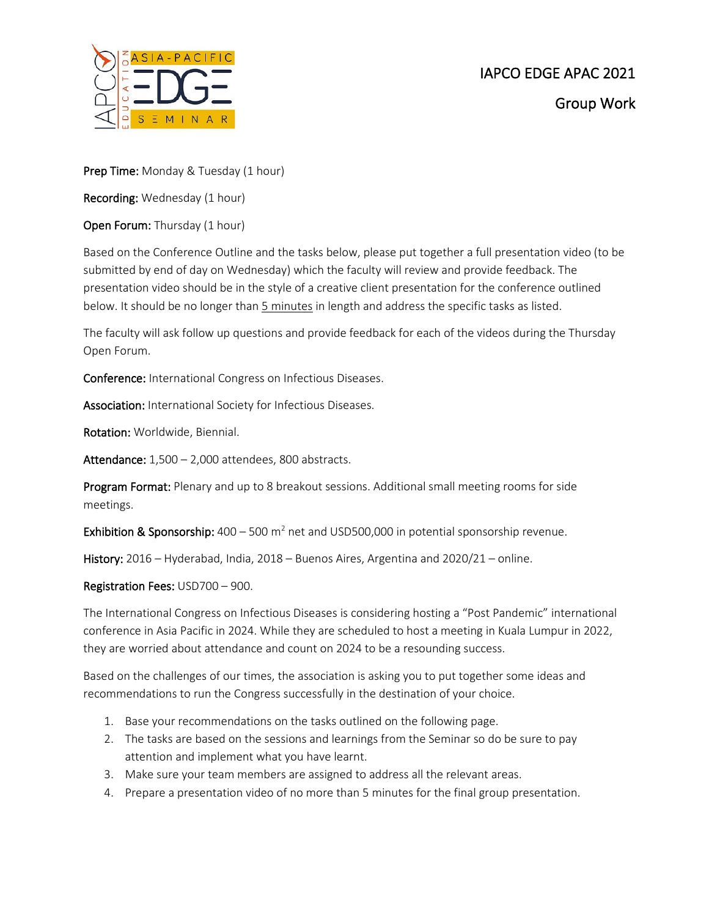

Prep Time: Monday & Tuesday (1 hour)

Recording: Wednesday (1 hour)

Open Forum: Thursday (1 hour)

Based on the Conference Outline and the tasks below, please put together a full presentation video (to be submitted by end of day on Wednesday) which the faculty will review and provide feedback. The presentation video should be in the style of a creative client presentation for the conference outlined below. It should be no longer than 5 minutes in length and address the specific tasks as listed.

The faculty will ask follow up questions and provide feedback for each of the videos during the Thursday Open Forum.

Conference: International Congress on Infectious Diseases.

Association: International Society for Infectious Diseases.

Rotation: Worldwide, Biennial.

Attendance: 1,500 - 2,000 attendees, 800 abstracts.

Program Format: Plenary and up to 8 breakout sessions. Additional small meeting rooms for side meetings.

**Exhibition & Sponsorship:**  $400 - 500$  m<sup>2</sup> net and USD500,000 in potential sponsorship revenue.

History: 2016 – Hyderabad, India, 2018 – Buenos Aires, Argentina and 2020/21 – online.

Registration Fees: USD700 – 900.

The International Congress on Infectious Diseases is considering hosting a "Post Pandemic" international conference in Asia Pacific in 2024. While they are scheduled to host a meeting in Kuala Lumpur in 2022, they are worried about attendance and count on 2024 to be a resounding success.

Based on the challenges of our times, the association is asking you to put together some ideas and recommendations to run the Congress successfully in the destination of your choice.

- 1. Base your recommendations on the tasks outlined on the following page.
- 2. The tasks are based on the sessions and learnings from the Seminar so do be sure to pay attention and implement what you have learnt.
- 3. Make sure your team members are assigned to address all the relevant areas.
- 4. Prepare a presentation video of no more than 5 minutes for the final group presentation.